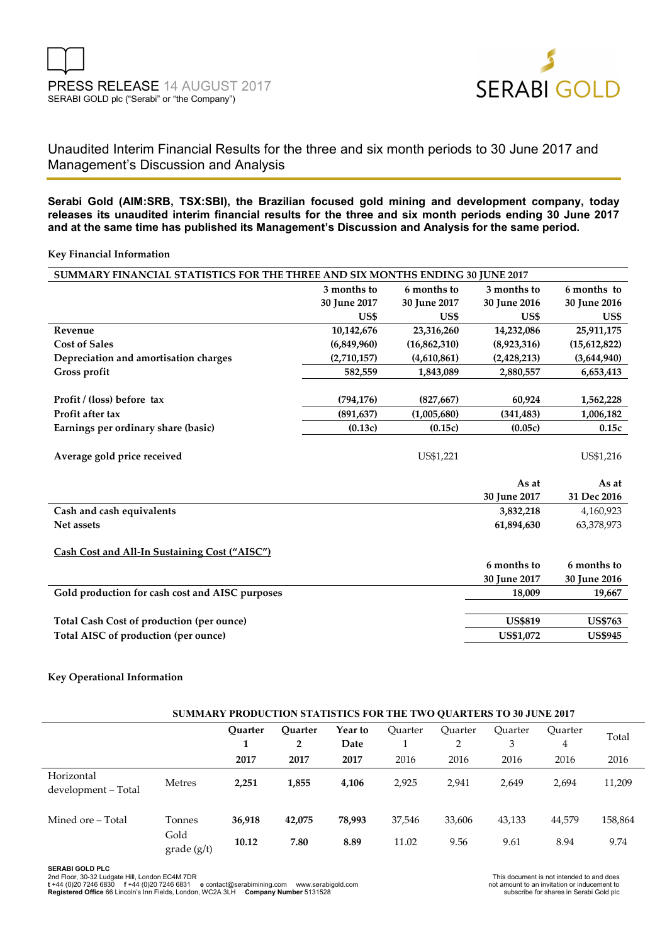

# Unaudited Interim Financial Results for the three and six month periods to 30 June 2017 and Management's Discussion and Analysis

**Serabi Gold (AIM:SRB, TSX:SBI), the Brazilian focused gold mining and development company, today releases its unaudited interim financial results for the three and six month periods ending 30 June 2017 and at the same time has published its Management's Discussion and Analysis for the same period.** 

#### **Key Financial Information**

| SUMMARY FINANCIAL STATISTICS FOR THE THREE AND SIX MONTHS ENDING 30 JUNE 2017 |              |              |                |                |  |  |  |  |
|-------------------------------------------------------------------------------|--------------|--------------|----------------|----------------|--|--|--|--|
|                                                                               | 3 months to  | 6 months to  | 3 months to    | 6 months to    |  |  |  |  |
|                                                                               | 30 June 2017 | 30 June 2017 | 30 June 2016   | 30 June 2016   |  |  |  |  |
|                                                                               | US\$         | US\$         | US\$           | US\$           |  |  |  |  |
| Revenue                                                                       | 10,142,676   | 23,316,260   | 14,232,086     | 25,911,175     |  |  |  |  |
| <b>Cost of Sales</b>                                                          | (6,849,960)  | (16,862,310) | (8,923,316)    | (15,612,822)   |  |  |  |  |
| Depreciation and amortisation charges                                         | (2,710,157)  | (4,610,861)  | (2,428,213)    | (3,644,940)    |  |  |  |  |
| Gross profit                                                                  | 582,559      | 1,843,089    | 2,880,557      | 6,653,413      |  |  |  |  |
|                                                                               |              |              |                |                |  |  |  |  |
| Profit / (loss) before tax                                                    | (794, 176)   | (827, 667)   | 60,924         | 1,562,228      |  |  |  |  |
| Profit after tax                                                              | (891, 637)   | (1,005,680)  | (341, 483)     | 1,006,182      |  |  |  |  |
| Earnings per ordinary share (basic)                                           | (0.13c)      | (0.15c)      | (0.05c)        | 0.15c          |  |  |  |  |
|                                                                               |              |              |                |                |  |  |  |  |
| Average gold price received                                                   |              | US\$1,221    |                | US\$1,216      |  |  |  |  |
|                                                                               |              |              |                |                |  |  |  |  |
|                                                                               |              |              | As at          | As at          |  |  |  |  |
|                                                                               |              |              | 30 June 2017   | 31 Dec 2016    |  |  |  |  |
| Cash and cash equivalents                                                     |              |              | 3,832,218      | 4,160,923      |  |  |  |  |
| Net assets                                                                    |              |              | 61,894,630     | 63,378,973     |  |  |  |  |
|                                                                               |              |              |                |                |  |  |  |  |
| <b>Cash Cost and All-In Sustaining Cost ("AISC")</b>                          |              |              |                |                |  |  |  |  |
|                                                                               |              |              | 6 months to    | 6 months to    |  |  |  |  |
|                                                                               |              |              | 30 June 2017   | 30 June 2016   |  |  |  |  |
| Gold production for cash cost and AISC purposes                               |              |              | 18,009         | 19,667         |  |  |  |  |
|                                                                               |              |              |                |                |  |  |  |  |
| <b>Total Cash Cost of production (per ounce)</b>                              |              |              | <b>US\$819</b> | <b>US\$763</b> |  |  |  |  |
| Total AISC of production (per ounce)                                          |              |              | US\$1,072      | <b>US\$945</b> |  |  |  |  |
|                                                                               |              |              |                |                |  |  |  |  |

#### **Key Operational Information**

| <b>SUMMARY PRODUCTION STATISTICS FOR THE TWO QUARTERS TO 30 JUNE 2017</b> |                           |                |                     |                 |         |              |              |              |         |
|---------------------------------------------------------------------------|---------------------------|----------------|---------------------|-----------------|---------|--------------|--------------|--------------|---------|
|                                                                           |                           | <b>Ouarter</b> | <b>Ouarter</b><br>2 | Year to<br>Date | Ouarter | Ouarter<br>2 | Ouarter<br>3 | Ouarter<br>4 | Total   |
|                                                                           |                           | 2017           | 2017                | 2017            | 2016    | 2016         | 2016         | 2016         | 2016    |
| Horizontal<br>development - Total                                         | <b>Metres</b>             | 2,251          | 1,855               | 4,106           | 2,925   | 2,941        | 2,649        | 2,694        | 11,209  |
| Mined ore – Total                                                         | Tonnes                    | 36,918         | 42,075              | 78,993          | 37,546  | 33,606       | 43,133       | 44,579       | 158,864 |
|                                                                           | Gold<br>$grade$ ( $g/t$ ) | 10.12          | 7.80                | 8.89            | 11.02   | 9.56         | 9.61         | 8.94         | 9.74    |

**SERABI GOLD PLC** 

2nd Floor, 30-32 Ludgate Hill, London EC4M 7DR<br>**t +44 (0)20 7246 6830 f +44 (0)20 7246 6831 e** contact@serabimining.com www.serabigold.com not amount to and nivitation or inducement to<br>**Registered Offi**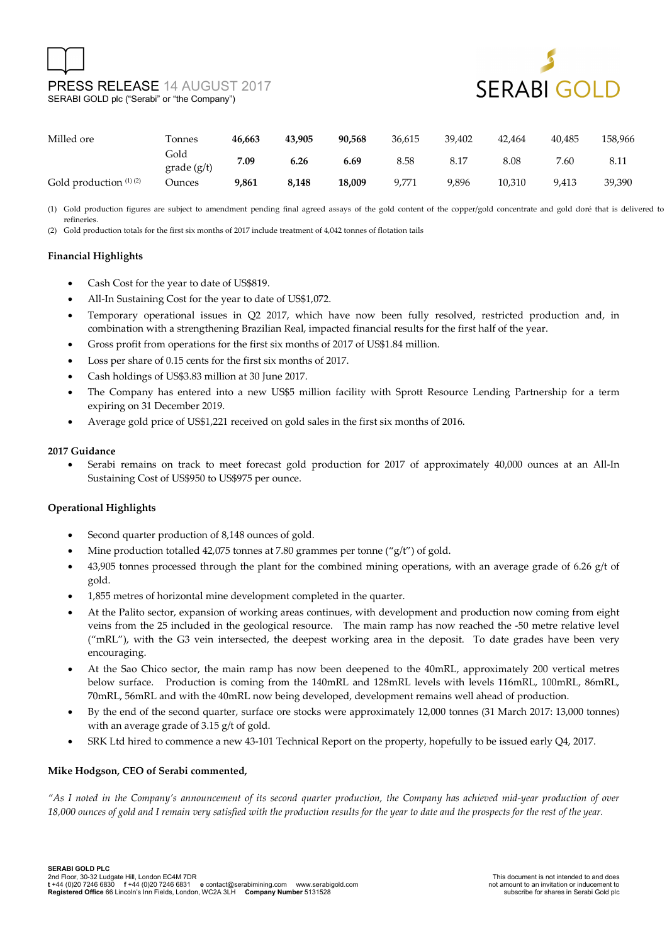# PRESS RELEASE 14 AUGUST 2017 SERABI GOLD plc ("Serabi" or "the Company")



| Milled ore               | Tonnes                    | 46.663 | 43.905 | 90.568 | 36,615 | 39.402 | 42.464 | 40.485 | 158,966 |
|--------------------------|---------------------------|--------|--------|--------|--------|--------|--------|--------|---------|
|                          | Gold<br>$grade$ ( $g/t$ ) | 7.09   | 6.26   | 6.69   | 8.58   | 8.17   | 8.08   | 7.60   | 8.11    |
| Gold production $(1)(2)$ | Ounces                    | 9,861  | 8,148  | 18.009 | 9.771  | 9,896  | 10.310 | 9,413  | 39,390  |

(1) Gold production figures are subject to amendment pending final agreed assays of the gold content of the copper/gold concentrate and gold doré that is delivered to the refineries.

(2) Gold production totals for the first six months of 2017 include treatment of 4,042 tonnes of flotation tails

#### **Financial Highlights**

- Cash Cost for the year to date of US\$819.
- All-In Sustaining Cost for the year to date of US\$1,072.
- Temporary operational issues in Q2 2017, which have now been fully resolved, restricted production and, in combination with a strengthening Brazilian Real, impacted financial results for the first half of the year.
- Gross profit from operations for the first six months of 2017 of US\$1.84 million.
- Loss per share of 0.15 cents for the first six months of 2017.
- Cash holdings of US\$3.83 million at 30 June 2017.
- The Company has entered into a new US\$5 million facility with Sprott Resource Lending Partnership for a term expiring on 31 December 2019.
- Average gold price of US\$1,221 received on gold sales in the first six months of 2016.

#### **2017 Guidance**

• Serabi remains on track to meet forecast gold production for 2017 of approximately 40,000 ounces at an All-In Sustaining Cost of US\$950 to US\$975 per ounce.

#### **Operational Highlights**

- Second quarter production of 8,148 ounces of gold.
- Mine production totalled 42,075 tonnes at 7.80 grammes per tonne ("g/t") of gold.
- 43,905 tonnes processed through the plant for the combined mining operations, with an average grade of 6.26 g/t of gold.
- 1,855 metres of horizontal mine development completed in the quarter.
- At the Palito sector, expansion of working areas continues, with development and production now coming from eight veins from the 25 included in the geological resource. The main ramp has now reached the -50 metre relative level ("mRL"), with the G3 vein intersected, the deepest working area in the deposit. To date grades have been very encouraging.
- At the Sao Chico sector, the main ramp has now been deepened to the 40mRL, approximately 200 vertical metres below surface. Production is coming from the 140mRL and 128mRL levels with levels 116mRL, 100mRL, 86mRL, 70mRL, 56mRL and with the 40mRL now being developed, development remains well ahead of production.
- By the end of the second quarter, surface ore stocks were approximately 12,000 tonnes (31 March 2017: 13,000 tonnes) with an average grade of 3.15 g/t of gold.
- SRK Ltd hired to commence a new 43-101 Technical Report on the property, hopefully to be issued early Q4, 2017.

#### **Mike Hodgson, CEO of Serabi commented,**

*"As I noted in the Company's announcement of its second quarter production, the Company has achieved mid-year production of over 18,000 ounces of gold and I remain very satisfied with the production results for the year to date and the prospects for the rest of the year.*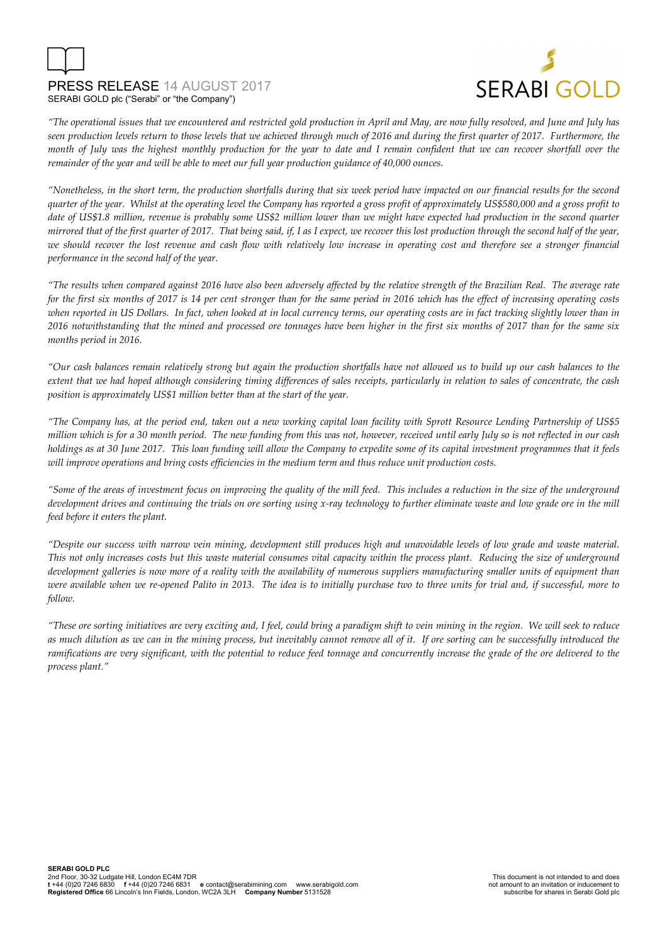# PRESS RELEASE 14 AUGUST 2017 SERABI GOLD plc ("Serabi" or "the Company")



*"The operational issues that we encountered and restricted gold production in April and May, are now fully resolved, and June and July has seen production levels return to those levels that we achieved through much of 2016 and during the first quarter of 2017. Furthermore, the month of July was the highest monthly production for the year to date and I remain confident that we can recover shortfall over the remainder of the year and will be able to meet our full year production guidance of 40,000 ounces.* 

*"Nonetheless, in the short term, the production shortfalls during that six week period have impacted on our financial results for the second quarter of the year. Whilst at the operating level the Company has reported a gross profit of approximately US\$580,000 and a gross profit to*  date of US\$1.8 million, revenue is probably some US\$2 million lower than we might have expected had production in the second quarter *mirrored that of the first quarter of 2017. That being said, if, I as I expect, we recover this lost production through the second half of the year, we should recover the lost revenue and cash flow with relatively low increase in operating cost and therefore see a stronger financial performance in the second half of the year.* 

*"The results when compared against 2016 have also been adversely affected by the relative strength of the Brazilian Real. The average rate for the first six months of 2017 is 14 per cent stronger than for the same period in 2016 which has the effect of increasing operating costs when reported in US Dollars. In fact, when looked at in local currency terms, our operating costs are in fact tracking slightly lower than in 2016 notwithstanding that the mined and processed ore tonnages have been higher in the first six months of 2017 than for the same six months period in 2016.* 

*"Our cash balances remain relatively strong but again the production shortfalls have not allowed us to build up our cash balances to the extent that we had hoped although considering timing differences of sales receipts, particularly in relation to sales of concentrate, the cash position is approximately US\$1 million better than at the start of the year.* 

*"The Company has, at the period end, taken out a new working capital loan facility with Sprott Resource Lending Partnership of US\$5 million which is for a 30 month period. The new funding from this was not, however, received until early July so is not reflected in our cash holdings as at 30 June 2017. This loan funding will allow the Company to expedite some of its capital investment programmes that it feels will improve operations and bring costs efficiencies in the medium term and thus reduce unit production costs.* 

*"Some of the areas of investment focus on improving the quality of the mill feed. This includes a reduction in the size of the underground development drives and continuing the trials on ore sorting using x-ray technology to further eliminate waste and low grade ore in the mill feed before it enters the plant.* 

*"Despite our success with narrow vein mining, development still produces high and unavoidable levels of low grade and waste material. This not only increases costs but this waste material consumes vital capacity within the process plant. Reducing the size of underground development galleries is now more of a reality with the availability of numerous suppliers manufacturing smaller units of equipment than were available when we re-opened Palito in 2013. The idea is to initially purchase two to three units for trial and, if successful, more to follow.* 

*"These ore sorting initiatives are very exciting and, I feel, could bring a paradigm shift to vein mining in the region. We will seek to reduce as much dilution as we can in the mining process, but inevitably cannot remove all of it. If ore sorting can be successfully introduced the ramifications are very significant, with the potential to reduce feed tonnage and concurrently increase the grade of the ore delivered to the process plant."*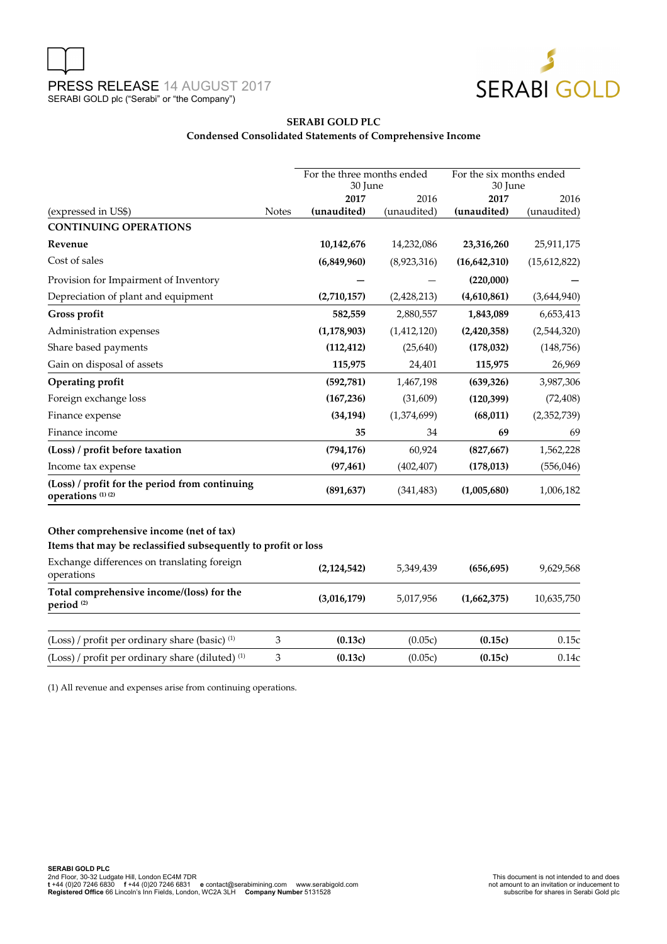

### **SERABI GOLD PLC Condensed Consolidated Statements of Comprehensive Income**

| 2017<br>2017<br>2016<br>2016<br>(expressed in US\$)<br><b>Notes</b><br>(unaudited)<br>(unaudited)<br>(unaudited)<br>(unaudited)<br><b>CONTINUING OPERATIONS</b><br>10,142,676<br>14,232,086<br>23,316,260<br>25,911,175<br>Revenue<br>Cost of sales<br>(6,849,960)<br>(8,923,316)<br>(15,612,822)<br>(16,642,310)<br>(220,000)<br>Provision for Impairment of Inventory<br>Depreciation of plant and equipment<br>(2,710,157)<br>(2,428,213)<br>(4,610,861)<br>(3,644,940)<br>Gross profit<br>582,559<br>2,880,557<br>1,843,089<br>6,653,413<br>(1, 178, 903)<br>(1,412,120)<br>Administration expenses<br>(2,420,358)<br>(2,544,320)<br>Share based payments<br>(148, 756)<br>(112, 412)<br>(25, 640)<br>(178, 032)<br>Gain on disposal of assets<br>115,975<br>24,401<br>115,975<br>26,969<br>Operating profit<br>(592, 781)<br>1,467,198<br>(639, 326)<br>3,987,306<br>Foreign exchange loss<br>(167, 236)<br>(31,609)<br>(120, 399)<br>(72, 408)<br>Finance expense<br>(34, 194)<br>(1,374,699)<br>(68, 011)<br>(2,352,739)<br>Finance income<br>34<br>69<br>35<br>69<br>(Loss) / profit before taxation<br>(794, 176)<br>60,924<br>(827, 667)<br>1,562,228<br>(556, 046)<br>(97, 461)<br>(402, 407)<br>(178, 013)<br>Income tax expense<br>(Loss) / profit for the period from continuing<br>(891, 637)<br>(1,005,680)<br>(341, 483)<br>1,006,182<br>operations <sup>(1)(2)</sup><br>Other comprehensive income (net of tax)<br>Items that may be reclassified subsequently to profit or loss<br>Exchange differences on translating foreign<br>9,629,568<br>(2, 124, 542)<br>5,349,439<br>(656, 695)<br>operations<br>Total comprehensive income/(loss) for the<br>(3,016,179)<br>5,017,956<br>10,635,750<br>(1,662,375)<br>period <sup>(2)</sup><br>(Loss) / profit per ordinary share (basic) <sup>(1)</sup><br>$\ensuremath{\mathfrak{Z}}$<br>(0.13c)<br>(0.05c)<br>(0.15c)<br>0.15c<br>(Loss) / profit per ordinary share (diluted) <sup>(1)</sup><br>3<br>(0.13c)<br>(0.05c)<br>(0.15c)<br>0.14c |  |  | For the three months ended<br>30 June |  | For the six months ended<br>30 June |  |
|-------------------------------------------------------------------------------------------------------------------------------------------------------------------------------------------------------------------------------------------------------------------------------------------------------------------------------------------------------------------------------------------------------------------------------------------------------------------------------------------------------------------------------------------------------------------------------------------------------------------------------------------------------------------------------------------------------------------------------------------------------------------------------------------------------------------------------------------------------------------------------------------------------------------------------------------------------------------------------------------------------------------------------------------------------------------------------------------------------------------------------------------------------------------------------------------------------------------------------------------------------------------------------------------------------------------------------------------------------------------------------------------------------------------------------------------------------------------------------------------------------------------------------------------------------------------------------------------------------------------------------------------------------------------------------------------------------------------------------------------------------------------------------------------------------------------------------------------------------------------------------------------------------------------------------------------------------------------------------------------------------------|--|--|---------------------------------------|--|-------------------------------------|--|
|                                                                                                                                                                                                                                                                                                                                                                                                                                                                                                                                                                                                                                                                                                                                                                                                                                                                                                                                                                                                                                                                                                                                                                                                                                                                                                                                                                                                                                                                                                                                                                                                                                                                                                                                                                                                                                                                                                                                                                                                             |  |  |                                       |  |                                     |  |
|                                                                                                                                                                                                                                                                                                                                                                                                                                                                                                                                                                                                                                                                                                                                                                                                                                                                                                                                                                                                                                                                                                                                                                                                                                                                                                                                                                                                                                                                                                                                                                                                                                                                                                                                                                                                                                                                                                                                                                                                             |  |  |                                       |  |                                     |  |
|                                                                                                                                                                                                                                                                                                                                                                                                                                                                                                                                                                                                                                                                                                                                                                                                                                                                                                                                                                                                                                                                                                                                                                                                                                                                                                                                                                                                                                                                                                                                                                                                                                                                                                                                                                                                                                                                                                                                                                                                             |  |  |                                       |  |                                     |  |
|                                                                                                                                                                                                                                                                                                                                                                                                                                                                                                                                                                                                                                                                                                                                                                                                                                                                                                                                                                                                                                                                                                                                                                                                                                                                                                                                                                                                                                                                                                                                                                                                                                                                                                                                                                                                                                                                                                                                                                                                             |  |  |                                       |  |                                     |  |
|                                                                                                                                                                                                                                                                                                                                                                                                                                                                                                                                                                                                                                                                                                                                                                                                                                                                                                                                                                                                                                                                                                                                                                                                                                                                                                                                                                                                                                                                                                                                                                                                                                                                                                                                                                                                                                                                                                                                                                                                             |  |  |                                       |  |                                     |  |
|                                                                                                                                                                                                                                                                                                                                                                                                                                                                                                                                                                                                                                                                                                                                                                                                                                                                                                                                                                                                                                                                                                                                                                                                                                                                                                                                                                                                                                                                                                                                                                                                                                                                                                                                                                                                                                                                                                                                                                                                             |  |  |                                       |  |                                     |  |
|                                                                                                                                                                                                                                                                                                                                                                                                                                                                                                                                                                                                                                                                                                                                                                                                                                                                                                                                                                                                                                                                                                                                                                                                                                                                                                                                                                                                                                                                                                                                                                                                                                                                                                                                                                                                                                                                                                                                                                                                             |  |  |                                       |  |                                     |  |
|                                                                                                                                                                                                                                                                                                                                                                                                                                                                                                                                                                                                                                                                                                                                                                                                                                                                                                                                                                                                                                                                                                                                                                                                                                                                                                                                                                                                                                                                                                                                                                                                                                                                                                                                                                                                                                                                                                                                                                                                             |  |  |                                       |  |                                     |  |
|                                                                                                                                                                                                                                                                                                                                                                                                                                                                                                                                                                                                                                                                                                                                                                                                                                                                                                                                                                                                                                                                                                                                                                                                                                                                                                                                                                                                                                                                                                                                                                                                                                                                                                                                                                                                                                                                                                                                                                                                             |  |  |                                       |  |                                     |  |
|                                                                                                                                                                                                                                                                                                                                                                                                                                                                                                                                                                                                                                                                                                                                                                                                                                                                                                                                                                                                                                                                                                                                                                                                                                                                                                                                                                                                                                                                                                                                                                                                                                                                                                                                                                                                                                                                                                                                                                                                             |  |  |                                       |  |                                     |  |
|                                                                                                                                                                                                                                                                                                                                                                                                                                                                                                                                                                                                                                                                                                                                                                                                                                                                                                                                                                                                                                                                                                                                                                                                                                                                                                                                                                                                                                                                                                                                                                                                                                                                                                                                                                                                                                                                                                                                                                                                             |  |  |                                       |  |                                     |  |
|                                                                                                                                                                                                                                                                                                                                                                                                                                                                                                                                                                                                                                                                                                                                                                                                                                                                                                                                                                                                                                                                                                                                                                                                                                                                                                                                                                                                                                                                                                                                                                                                                                                                                                                                                                                                                                                                                                                                                                                                             |  |  |                                       |  |                                     |  |
|                                                                                                                                                                                                                                                                                                                                                                                                                                                                                                                                                                                                                                                                                                                                                                                                                                                                                                                                                                                                                                                                                                                                                                                                                                                                                                                                                                                                                                                                                                                                                                                                                                                                                                                                                                                                                                                                                                                                                                                                             |  |  |                                       |  |                                     |  |
|                                                                                                                                                                                                                                                                                                                                                                                                                                                                                                                                                                                                                                                                                                                                                                                                                                                                                                                                                                                                                                                                                                                                                                                                                                                                                                                                                                                                                                                                                                                                                                                                                                                                                                                                                                                                                                                                                                                                                                                                             |  |  |                                       |  |                                     |  |
|                                                                                                                                                                                                                                                                                                                                                                                                                                                                                                                                                                                                                                                                                                                                                                                                                                                                                                                                                                                                                                                                                                                                                                                                                                                                                                                                                                                                                                                                                                                                                                                                                                                                                                                                                                                                                                                                                                                                                                                                             |  |  |                                       |  |                                     |  |
|                                                                                                                                                                                                                                                                                                                                                                                                                                                                                                                                                                                                                                                                                                                                                                                                                                                                                                                                                                                                                                                                                                                                                                                                                                                                                                                                                                                                                                                                                                                                                                                                                                                                                                                                                                                                                                                                                                                                                                                                             |  |  |                                       |  |                                     |  |
|                                                                                                                                                                                                                                                                                                                                                                                                                                                                                                                                                                                                                                                                                                                                                                                                                                                                                                                                                                                                                                                                                                                                                                                                                                                                                                                                                                                                                                                                                                                                                                                                                                                                                                                                                                                                                                                                                                                                                                                                             |  |  |                                       |  |                                     |  |
|                                                                                                                                                                                                                                                                                                                                                                                                                                                                                                                                                                                                                                                                                                                                                                                                                                                                                                                                                                                                                                                                                                                                                                                                                                                                                                                                                                                                                                                                                                                                                                                                                                                                                                                                                                                                                                                                                                                                                                                                             |  |  |                                       |  |                                     |  |
|                                                                                                                                                                                                                                                                                                                                                                                                                                                                                                                                                                                                                                                                                                                                                                                                                                                                                                                                                                                                                                                                                                                                                                                                                                                                                                                                                                                                                                                                                                                                                                                                                                                                                                                                                                                                                                                                                                                                                                                                             |  |  |                                       |  |                                     |  |
|                                                                                                                                                                                                                                                                                                                                                                                                                                                                                                                                                                                                                                                                                                                                                                                                                                                                                                                                                                                                                                                                                                                                                                                                                                                                                                                                                                                                                                                                                                                                                                                                                                                                                                                                                                                                                                                                                                                                                                                                             |  |  |                                       |  |                                     |  |
|                                                                                                                                                                                                                                                                                                                                                                                                                                                                                                                                                                                                                                                                                                                                                                                                                                                                                                                                                                                                                                                                                                                                                                                                                                                                                                                                                                                                                                                                                                                                                                                                                                                                                                                                                                                                                                                                                                                                                                                                             |  |  |                                       |  |                                     |  |
|                                                                                                                                                                                                                                                                                                                                                                                                                                                                                                                                                                                                                                                                                                                                                                                                                                                                                                                                                                                                                                                                                                                                                                                                                                                                                                                                                                                                                                                                                                                                                                                                                                                                                                                                                                                                                                                                                                                                                                                                             |  |  |                                       |  |                                     |  |
|                                                                                                                                                                                                                                                                                                                                                                                                                                                                                                                                                                                                                                                                                                                                                                                                                                                                                                                                                                                                                                                                                                                                                                                                                                                                                                                                                                                                                                                                                                                                                                                                                                                                                                                                                                                                                                                                                                                                                                                                             |  |  |                                       |  |                                     |  |

(1) All revenue and expenses arise from continuing operations.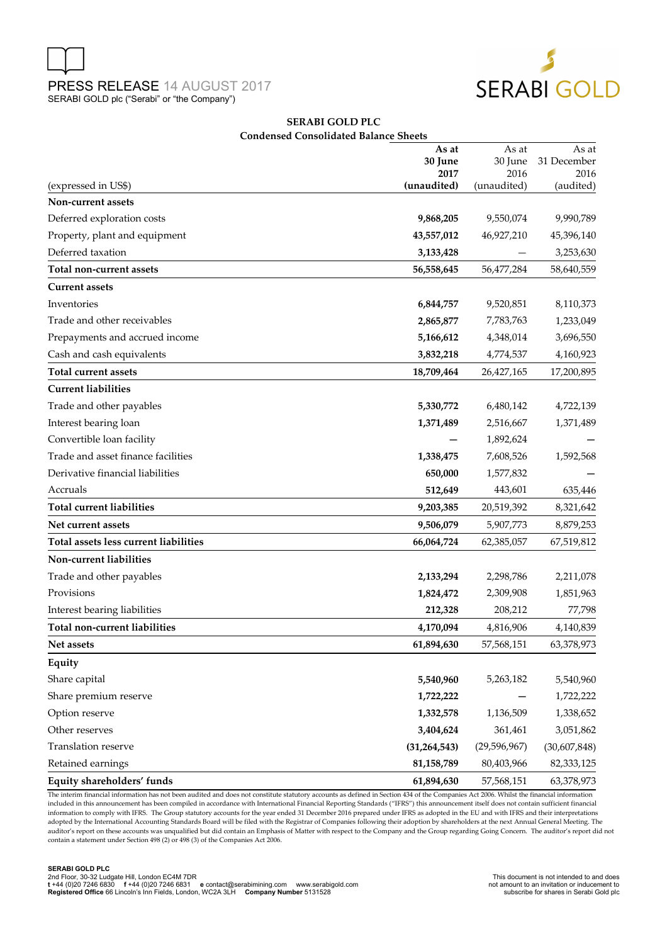



#### **SERABI GOLD PLC Condensed Consolidated Balance Sheets**

|                                       | As at           | As at           | As at               |
|---------------------------------------|-----------------|-----------------|---------------------|
|                                       | 30 June<br>2017 | 30 June<br>2016 | 31 December<br>2016 |
| (expressed in US\$)                   | (unaudited)     | (unaudited)     | (audited)           |
| Non-current assets                    |                 |                 |                     |
| Deferred exploration costs            | 9,868,205       | 9,550,074       | 9,990,789           |
| Property, plant and equipment         | 43,557,012      | 46,927,210      | 45,396,140          |
| Deferred taxation                     | 3,133,428       |                 | 3,253,630           |
| Total non-current assets              | 56,558,645      | 56,477,284      | 58,640,559          |
| <b>Current assets</b>                 |                 |                 |                     |
| Inventories                           | 6,844,757       | 9,520,851       | 8,110,373           |
| Trade and other receivables           | 2,865,877       | 7,783,763       | 1,233,049           |
| Prepayments and accrued income        | 5,166,612       | 4,348,014       | 3,696,550           |
| Cash and cash equivalents             | 3,832,218       | 4,774,537       | 4,160,923           |
| <b>Total current assets</b>           | 18,709,464      | 26,427,165      | 17,200,895          |
| <b>Current liabilities</b>            |                 |                 |                     |
| Trade and other payables              | 5,330,772       | 6,480,142       | 4,722,139           |
| Interest bearing loan                 | 1,371,489       | 2,516,667       | 1,371,489           |
| Convertible loan facility             |                 | 1,892,624       |                     |
| Trade and asset finance facilities    | 1,338,475       | 7,608,526       | 1,592,568           |
| Derivative financial liabilities      | 650,000         | 1,577,832       |                     |
| Accruals                              | 512,649         | 443,601         | 635,446             |
| <b>Total current liabilities</b>      | 9,203,385       | 20,519,392      | 8,321,642           |
| Net current assets                    | 9,506,079       | 5,907,773       | 8,879,253           |
| Total assets less current liabilities | 66,064,724      | 62,385,057      | 67,519,812          |
| Non-current liabilities               |                 |                 |                     |
| Trade and other payables              | 2,133,294       | 2,298,786       | 2,211,078           |
| Provisions                            | 1,824,472       | 2,309,908       | 1,851,963           |
| Interest bearing liabilities          | 212,328         | 208,212         | 77,798              |
| Total non-current liabilities         | 4,170,094       | 4,816,906       | 4,140,839           |
| Net assets                            | 61,894,630      | 57,568,151      | 63,378,973          |
| Equity                                |                 |                 |                     |
| Share capital                         | 5,540,960       | 5,263,182       | 5,540,960           |
| Share premium reserve                 | 1,722,222       |                 | 1,722,222           |
| Option reserve                        | 1,332,578       | 1,136,509       | 1,338,652           |
| Other reserves                        | 3,404,624       | 361,461         | 3,051,862           |
| Translation reserve                   | (31, 264, 543)  | (29, 596, 967)  | (30,607,848)        |
| Retained earnings                     | 81,158,789      | 80,403,966      | 82,333,125          |
| Equity shareholders' funds            | 61,894,630      | 57,568,151      | 63,378,973          |

The interim financial information has not been audited and does not constitute statutory accounts as defined in Section 434 of the Companies Act 2006. Whilst the financial information included in this announcement has been compiled in accordance with International Financial Reporting Standards ("IFRS") this announcement itself does not contain sufficient financial information to comply with IFRS. The Group statutory accounts for the year ended 31 December 2016 prepared under IFRS as adopted in the EU and with IFRS and their interpretations adopted by the International Accounting Standards Board will be filed with the Registrar of Companies following their adoption by shareholders at the next Annual General Meeting. The auditor's report on these accounts was unqualified but did contain an Emphasis of Matter with respect to the Company and the Group regarding Going Concern. The auditor's report did not contain a statement under Section 498 (2) or 498 (3) of the Companies Act 2006.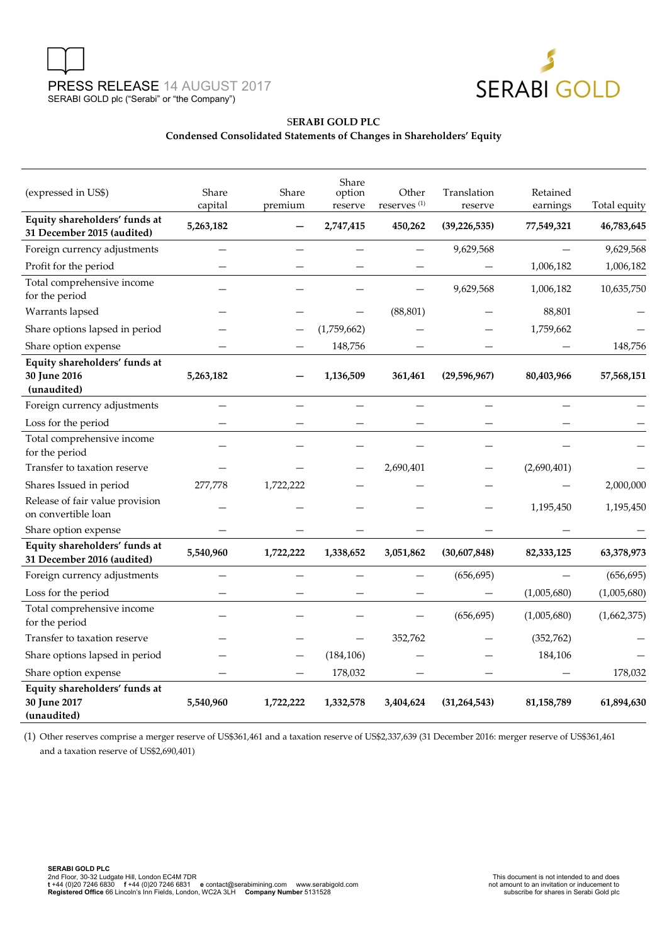



# S**ERABI GOLD PLC**

# **Condensed Consolidated Statements of Changes in Shareholders' Equity**

| (expressed in US\$)                                          | Share<br>capital | Share<br>premium | Share<br>option<br>reserve | Other<br>reserves <sup>(1)</sup> | Translation<br>reserve | Retained<br>earnings | Total equity |
|--------------------------------------------------------------|------------------|------------------|----------------------------|----------------------------------|------------------------|----------------------|--------------|
| Equity shareholders' funds at<br>31 December 2015 (audited)  | 5,263,182        |                  | 2,747,415                  | 450,262                          | (39, 226, 535)         | 77,549,321           | 46,783,645   |
| Foreign currency adjustments                                 |                  |                  |                            |                                  | 9,629,568              |                      | 9,629,568    |
| Profit for the period                                        |                  |                  |                            |                                  |                        | 1,006,182            | 1,006,182    |
| Total comprehensive income<br>for the period                 |                  |                  |                            |                                  | 9,629,568              | 1,006,182            | 10,635,750   |
| Warrants lapsed                                              |                  |                  |                            | (88, 801)                        |                        | 88,801               |              |
| Share options lapsed in period                               |                  |                  | (1,759,662)                |                                  |                        | 1,759,662            |              |
| Share option expense                                         |                  |                  | 148,756                    |                                  |                        |                      | 148,756      |
| Equity shareholders' funds at<br>30 June 2016<br>(unaudited) | 5,263,182        |                  | 1,136,509                  | 361,461                          | (29,596,967)           | 80,403,966           | 57,568,151   |
| Foreign currency adjustments                                 |                  |                  |                            |                                  |                        |                      |              |
| Loss for the period                                          |                  |                  |                            |                                  |                        |                      |              |
| Total comprehensive income<br>for the period                 |                  |                  |                            |                                  |                        |                      |              |
| Transfer to taxation reserve                                 |                  |                  |                            | 2,690,401                        |                        | (2,690,401)          |              |
| Shares Issued in period                                      | 277,778          | 1,722,222        |                            |                                  |                        |                      | 2,000,000    |
| Release of fair value provision<br>on convertible loan       |                  |                  |                            |                                  |                        | 1,195,450            | 1,195,450    |
| Share option expense                                         |                  |                  |                            |                                  |                        |                      |              |
| Equity shareholders' funds at<br>31 December 2016 (audited)  | 5,540,960        | 1,722,222        | 1,338,652                  | 3,051,862                        | (30,607,848)           | 82,333,125           | 63,378,973   |
| Foreign currency adjustments                                 |                  |                  |                            |                                  | (656, 695)             |                      | (656, 695)   |
| Loss for the period                                          |                  |                  |                            |                                  |                        | (1,005,680)          | (1,005,680)  |
| Total comprehensive income<br>for the period                 |                  |                  |                            |                                  | (656, 695)             | (1,005,680)          | (1,662,375)  |
| Transfer to taxation reserve                                 |                  |                  |                            | 352,762                          |                        | (352, 762)           |              |
| Share options lapsed in period                               |                  |                  | (184, 106)                 |                                  |                        | 184,106              |              |
| Share option expense                                         |                  |                  | 178,032                    |                                  |                        |                      | 178,032      |
| Equity shareholders' funds at<br>30 June 2017<br>(unaudited) | 5,540,960        | 1,722,222        | 1,332,578                  | 3,404,624                        | (31, 264, 543)         | 81, 158, 789         | 61,894,630   |

(1) Other reserves comprise a merger reserve of US\$361,461 and a taxation reserve of US\$2,337,639 (31 December 2016: merger reserve of US\$361,461 and a taxation reserve of US\$2,690,401)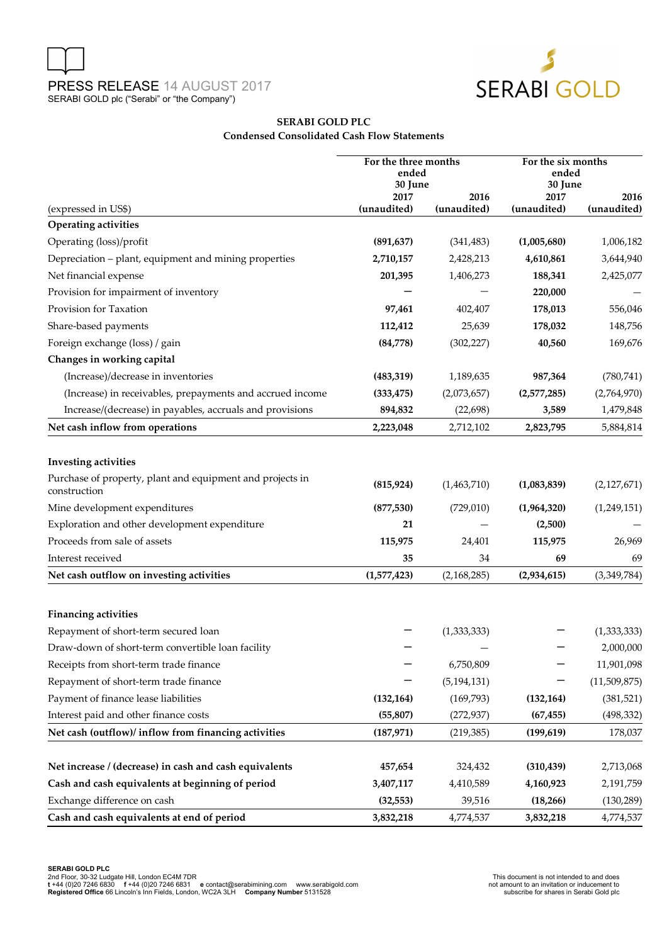



### **SERABI GOLD PLC Condensed Consolidated Cash Flow Statements**

|                                                                           | For the three months<br>ended<br>30 June |               | For the six months<br>ended<br>30 June |                          |
|---------------------------------------------------------------------------|------------------------------------------|---------------|----------------------------------------|--------------------------|
|                                                                           | 2017                                     | 2016          | 2017                                   | 2016                     |
| (expressed in US\$)                                                       | (unaudited)                              | (unaudited)   | (unaudited)                            | (unaudited)              |
| <b>Operating activities</b>                                               |                                          |               |                                        |                          |
| Operating (loss)/profit                                                   | (891, 637)                               | (341, 483)    | (1,005,680)                            | 1,006,182                |
| Depreciation - plant, equipment and mining properties                     | 2,710,157                                | 2,428,213     | 4,610,861                              | 3,644,940                |
| Net financial expense                                                     | 201,395                                  | 1,406,273     | 188,341                                | 2,425,077                |
| Provision for impairment of inventory                                     |                                          |               | 220,000                                |                          |
| Provision for Taxation                                                    | 97,461                                   | 402,407       | 178,013                                | 556,046                  |
| Share-based payments                                                      | 112,412                                  | 25,639        | 178,032                                | 148,756                  |
| Foreign exchange (loss) / gain                                            | (84,778)                                 | (302, 227)    | 40,560                                 | 169,676                  |
| Changes in working capital                                                |                                          |               |                                        |                          |
| (Increase)/decrease in inventories                                        | (483, 319)                               | 1,189,635     | 987,364                                | (780, 741)               |
| (Increase) in receivables, prepayments and accrued income                 | (333, 475)                               | (2,073,657)   | (2,577,285)                            | (2,764,970)              |
| Increase/(decrease) in payables, accruals and provisions                  | 894,832                                  | (22, 698)     | 3,589                                  | 1,479,848                |
| Net cash inflow from operations                                           | 2,223,048                                | 2,712,102     | 2,823,795                              | 5,884,814                |
| <b>Investing activities</b>                                               |                                          |               |                                        |                          |
| Purchase of property, plant and equipment and projects in<br>construction | (815, 924)                               | (1,463,710)   | (1,083,839)                            | (2, 127, 671)            |
| Mine development expenditures                                             | (877, 530)                               | (729,010)     | (1,964,320)                            | (1,249,151)              |
| Exploration and other development expenditure                             | 21                                       |               | (2,500)                                |                          |
| Proceeds from sale of assets                                              | 115,975                                  | 24,401        | 115,975                                | 26,969                   |
| Interest received                                                         | 35                                       | 34            | 69                                     | 69                       |
| Net cash outflow on investing activities                                  | (1,577,423)                              | (2,168,285)   | (2,934,615)                            | (3,349,784)              |
|                                                                           |                                          |               |                                        |                          |
| <b>Financing activities</b><br>Repayment of short-term secured loan       |                                          | (1,333,333)   |                                        |                          |
|                                                                           |                                          |               |                                        | (1,333,333)<br>2,000,000 |
| Draw-down of short-term convertible loan facility                         |                                          | 6,750,809     |                                        | 11,901,098               |
| Receipts from short-term trade finance                                    |                                          |               |                                        |                          |
| Repayment of short-term trade finance                                     |                                          | (5, 194, 131) |                                        | (11,509,875)             |
| Payment of finance lease liabilities                                      | (132, 164)                               | (169, 793)    | (132, 164)                             | (381, 521)               |
| Interest paid and other finance costs                                     | (55, 807)                                | (272, 937)    | (67, 455)                              | (498, 332)               |
| Net cash (outflow)/ inflow from financing activities                      | (187, 971)                               | (219, 385)    | (199, 619)                             | 178,037                  |
| Net increase / (decrease) in cash and cash equivalents                    | 457,654                                  | 324,432       | (310, 439)                             | 2,713,068                |
| Cash and cash equivalents at beginning of period                          | 3,407,117                                | 4,410,589     | 4,160,923                              | 2,191,759                |
| Exchange difference on cash                                               | (32, 553)                                | 39,516        | (18, 266)                              | (130, 289)               |
| Cash and cash equivalents at end of period                                | 3,832,218                                | 4,774,537     | 3,832,218                              | 4,774,537                |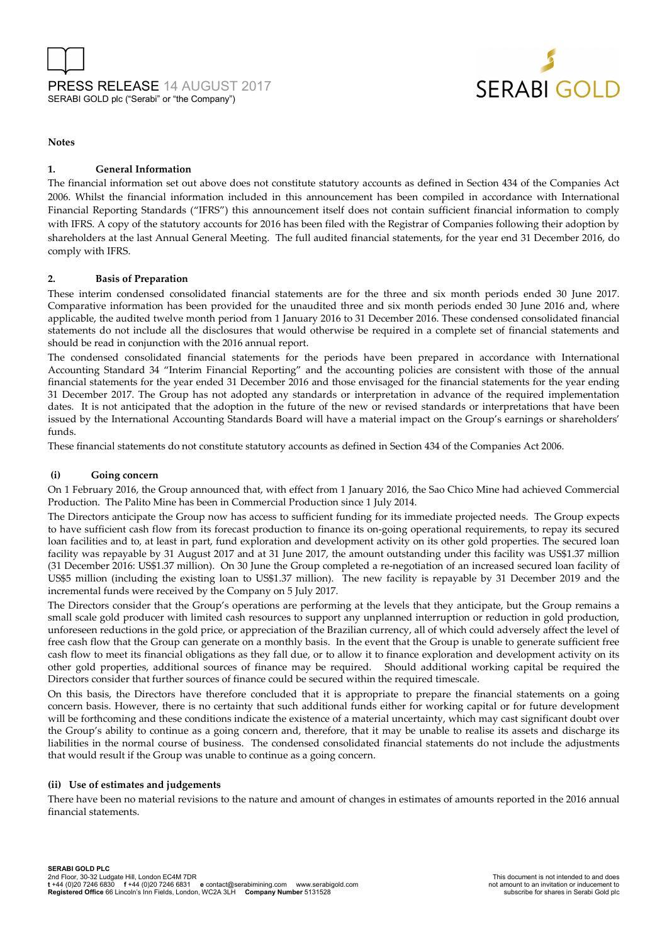



#### **Notes**

#### **1. General Information**

The financial information set out above does not constitute statutory accounts as defined in Section 434 of the Companies Act 2006. Whilst the financial information included in this announcement has been compiled in accordance with International Financial Reporting Standards ("IFRS") this announcement itself does not contain sufficient financial information to comply with IFRS. A copy of the statutory accounts for 2016 has been filed with the Registrar of Companies following their adoption by shareholders at the last Annual General Meeting. The full audited financial statements, for the year end 31 December 2016, do comply with IFRS.

#### **2. Basis of Preparation**

These interim condensed consolidated financial statements are for the three and six month periods ended 30 June 2017. Comparative information has been provided for the unaudited three and six month periods ended 30 June 2016 and, where applicable, the audited twelve month period from 1 January 2016 to 31 December 2016. These condensed consolidated financial statements do not include all the disclosures that would otherwise be required in a complete set of financial statements and should be read in conjunction with the 2016 annual report.

The condensed consolidated financial statements for the periods have been prepared in accordance with International Accounting Standard 34 "Interim Financial Reporting" and the accounting policies are consistent with those of the annual financial statements for the year ended 31 December 2016 and those envisaged for the financial statements for the year ending 31 December 2017. The Group has not adopted any standards or interpretation in advance of the required implementation dates. It is not anticipated that the adoption in the future of the new or revised standards or interpretations that have been issued by the International Accounting Standards Board will have a material impact on the Group's earnings or shareholders' funds.

These financial statements do not constitute statutory accounts as defined in Section 434 of the Companies Act 2006.

#### **(i) Going concern**

On 1 February 2016, the Group announced that, with effect from 1 January 2016, the Sao Chico Mine had achieved Commercial Production. The Palito Mine has been in Commercial Production since 1 July 2014.

The Directors anticipate the Group now has access to sufficient funding for its immediate projected needs. The Group expects to have sufficient cash flow from its forecast production to finance its on-going operational requirements, to repay its secured loan facilities and to, at least in part, fund exploration and development activity on its other gold properties. The secured loan facility was repayable by 31 August 2017 and at 31 June 2017, the amount outstanding under this facility was US\$1.37 million (31 December 2016: US\$1.37 million). On 30 June the Group completed a re-negotiation of an increased secured loan facility of US\$5 million (including the existing loan to US\$1.37 million). The new facility is repayable by 31 December 2019 and the incremental funds were received by the Company on 5 July 2017.

The Directors consider that the Group's operations are performing at the levels that they anticipate, but the Group remains a small scale gold producer with limited cash resources to support any unplanned interruption or reduction in gold production, unforeseen reductions in the gold price, or appreciation of the Brazilian currency, all of which could adversely affect the level of free cash flow that the Group can generate on a monthly basis. In the event that the Group is unable to generate sufficient free cash flow to meet its financial obligations as they fall due, or to allow it to finance exploration and development activity on its other gold properties, additional sources of finance may be required. Should additional working capital be required the Directors consider that further sources of finance could be secured within the required timescale.

On this basis, the Directors have therefore concluded that it is appropriate to prepare the financial statements on a going concern basis. However, there is no certainty that such additional funds either for working capital or for future development will be forthcoming and these conditions indicate the existence of a material uncertainty, which may cast significant doubt over the Group's ability to continue as a going concern and, therefore, that it may be unable to realise its assets and discharge its liabilities in the normal course of business. The condensed consolidated financial statements do not include the adjustments that would result if the Group was unable to continue as a going concern.

#### **(ii) Use of estimates and judgements**

There have been no material revisions to the nature and amount of changes in estimates of amounts reported in the 2016 annual financial statements.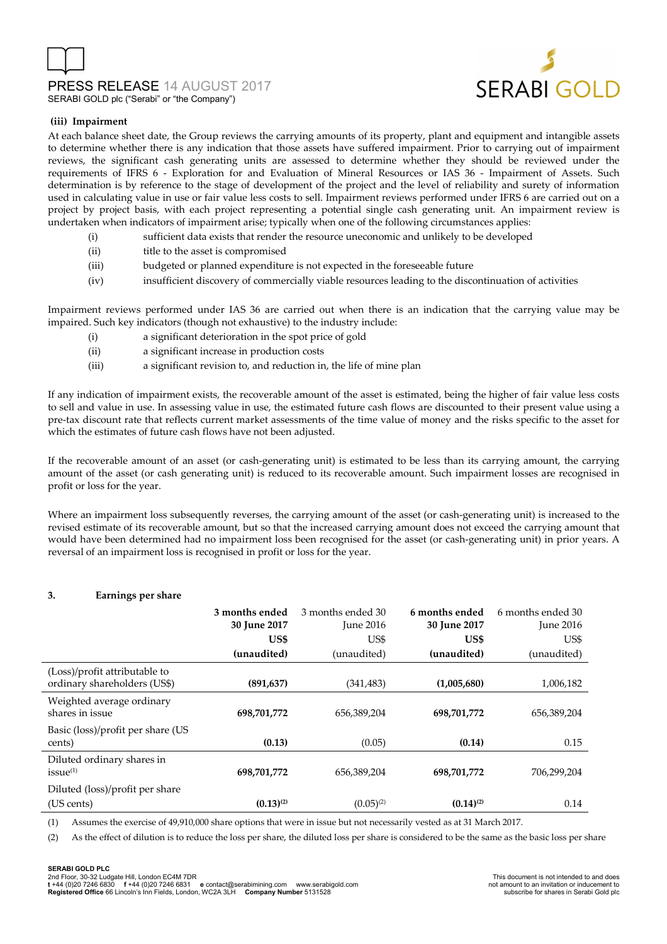# PRESS RELEASE 14 AUGUST 2017 SERABI GOLD plc ("Serabi" or "the Company")



#### **(iii) Impairment**

At each balance sheet date, the Group reviews the carrying amounts of its property, plant and equipment and intangible assets to determine whether there is any indication that those assets have suffered impairment. Prior to carrying out of impairment reviews, the significant cash generating units are assessed to determine whether they should be reviewed under the requirements of IFRS 6 - Exploration for and Evaluation of Mineral Resources or IAS 36 - Impairment of Assets. Such determination is by reference to the stage of development of the project and the level of reliability and surety of information used in calculating value in use or fair value less costs to sell. Impairment reviews performed under IFRS 6 are carried out on a project by project basis, with each project representing a potential single cash generating unit. An impairment review is undertaken when indicators of impairment arise; typically when one of the following circumstances applies:

- (i) sufficient data exists that render the resource uneconomic and unlikely to be developed
- (ii) title to the asset is compromised
- (iii) budgeted or planned expenditure is not expected in the foreseeable future
- (iv) insufficient discovery of commercially viable resources leading to the discontinuation of activities

Impairment reviews performed under IAS 36 are carried out when there is an indication that the carrying value may be impaired. Such key indicators (though not exhaustive) to the industry include:

- (i) a significant deterioration in the spot price of gold
- (ii) a significant increase in production costs
- (iii) a significant revision to, and reduction in, the life of mine plan

If any indication of impairment exists, the recoverable amount of the asset is estimated, being the higher of fair value less costs to sell and value in use. In assessing value in use, the estimated future cash flows are discounted to their present value using a pre-tax discount rate that reflects current market assessments of the time value of money and the risks specific to the asset for which the estimates of future cash flows have not been adjusted.

If the recoverable amount of an asset (or cash-generating unit) is estimated to be less than its carrying amount, the carrying amount of the asset (or cash generating unit) is reduced to its recoverable amount. Such impairment losses are recognised in profit or loss for the year.

Where an impairment loss subsequently reverses, the carrying amount of the asset (or cash-generating unit) is increased to the revised estimate of its recoverable amount, but so that the increased carrying amount does not exceed the carrying amount that would have been determined had no impairment loss been recognised for the asset (or cash-generating unit) in prior years. A reversal of an impairment loss is recognised in profit or loss for the year.

#### **3. Earnings per share**

|                                                               | 3 months ended<br>30 June 2017<br>US\$<br>(unaudited) | 3 months ended 30<br><b>June 2016</b><br>US\$<br>(unaudited) | 6 months ended<br>30 June 2017<br>US\$<br>(unaudited) | 6 months ended 30<br><b>June 2016</b><br>US\$<br>(unaudited) |
|---------------------------------------------------------------|-------------------------------------------------------|--------------------------------------------------------------|-------------------------------------------------------|--------------------------------------------------------------|
| (Loss)/profit attributable to<br>ordinary shareholders (US\$) | (891, 637)                                            | (341, 483)                                                   | (1,005,680)                                           | 1,006,182                                                    |
| Weighted average ordinary<br>shares in issue                  | 698,701,772                                           | 656,389,204                                                  | 698,701,772                                           | 656,389,204                                                  |
| Basic (loss)/profit per share (US<br>cents)                   | (0.13)                                                | (0.05)                                                       | (0.14)                                                | 0.15                                                         |
| Diluted ordinary shares in<br>issue <sup>(1)</sup>            | 698,701,772                                           | 656,389,204                                                  | 698,701,772                                           | 706,299,204                                                  |
| Diluted (loss)/profit per share<br>(US cents)                 | $(0.13)^{(2)}$                                        | $(0.05)^{(2)}$                                               | $(0.14)^{(2)}$                                        | 0.14                                                         |

(1) Assumes the exercise of 49,910,000 share options that were in issue but not necessarily vested as at 31 March 2017.

(2) As the effect of dilution is to reduce the loss per share, the diluted loss per share is considered to be the same as the basic loss per share